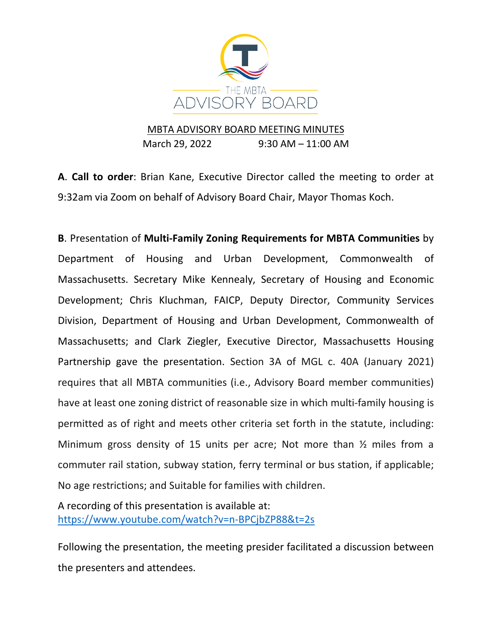

## MBTA ADVISORY BOARD MEETING MINUTES

March 29, 2022 9:30 AM – 11:00 AM

**A**. **Call to order**: Brian Kane, Executive Director called the meeting to order at 9:32am via Zoom on behalf of Advisory Board Chair, Mayor Thomas Koch.

**B**. Presentation of **Multi-Family Zoning Requirements for MBTA Communities** by Department of Housing and Urban Development, Commonwealth of Massachusetts. Secretary Mike Kennealy, Secretary of Housing and Economic Development; Chris Kluchman, FAICP, Deputy Director, Community Services Division, Department of Housing and Urban Development, Commonwealth of Massachusetts; and Clark Ziegler, Executive Director, Massachusetts Housing Partnership gave the presentation. Section 3A of MGL c. 40A (January 2021) requires that all MBTA communities (i.e., Advisory Board member communities) have at least one zoning district of reasonable size in which multi-family housing is permitted as of right and meets other criteria set forth in the statute, including: Minimum gross density of 15 units per acre; Not more than ½ miles from a commuter rail station, subway station, ferry terminal or bus station, if applicable; No age restrictions; and Suitable for families with children.

A recording of this presentation is available at: <https://www.youtube.com/watch?v=n-BPCjbZP88&t=2s>

Following the presentation, the meeting presider facilitated a discussion between the presenters and attendees.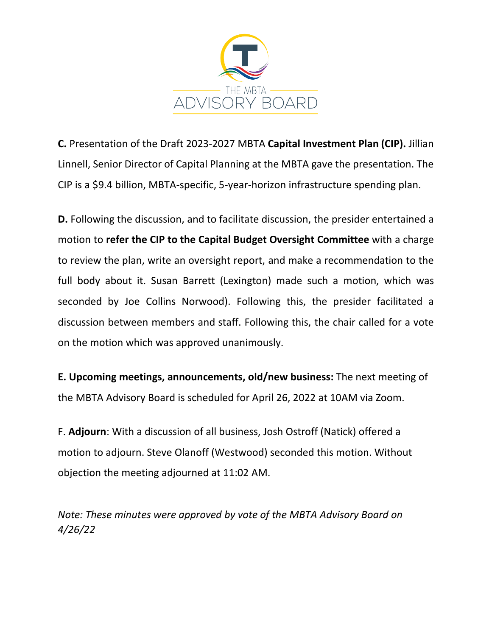

**C.** Presentation of the Draft 2023-2027 MBTA **Capital Investment Plan (CIP).** Jillian Linnell, Senior Director of Capital Planning at the MBTA gave the presentation. The CIP is a \$9.4 billion, MBTA-specific, 5-year-horizon infrastructure spending plan.

**D.** Following the discussion, and to facilitate discussion, the presider entertained a motion to **refer the CIP to the Capital Budget Oversight Committee** with a charge to review the plan, write an oversight report, and make a recommendation to the full body about it. Susan Barrett (Lexington) made such a motion, which was seconded by Joe Collins Norwood). Following this, the presider facilitated a discussion between members and staff. Following this, the chair called for a vote on the motion which was approved unanimously.

**E. Upcoming meetings, announcements, old/new business:** The next meeting of the MBTA Advisory Board is scheduled for April 26, 2022 at 10AM via Zoom.

F. **Adjourn**: With a discussion of all business, Josh Ostroff (Natick) offered a motion to adjourn. Steve Olanoff (Westwood) seconded this motion. Without objection the meeting adjourned at 11:02 AM.

*Note: These minutes were approved by vote of the MBTA Advisory Board on 4/26/22*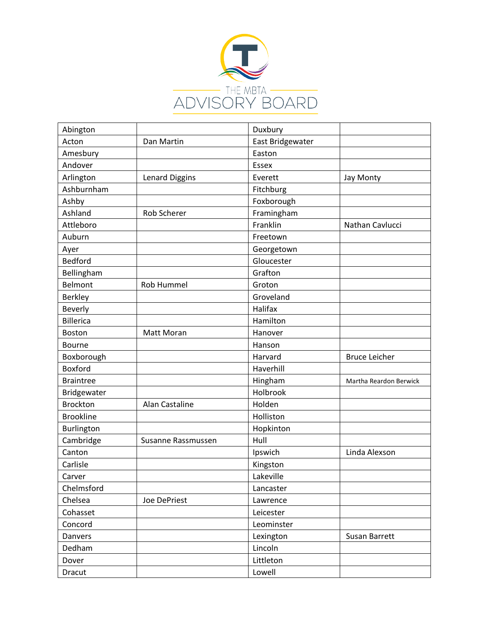

| Abington         |                    | Duxbury          |                        |
|------------------|--------------------|------------------|------------------------|
| Acton            | Dan Martin         | East Bridgewater |                        |
| Amesbury         |                    | Easton           |                        |
| Andover          |                    | Essex            |                        |
| Arlington        | Lenard Diggins     | Everett          | Jay Monty              |
| Ashburnham       |                    | Fitchburg        |                        |
| Ashby            |                    | Foxborough       |                        |
| Ashland          | Rob Scherer        | Framingham       |                        |
| Attleboro        |                    | Franklin         | Nathan Cavlucci        |
| Auburn           |                    | Freetown         |                        |
| Ayer             |                    | Georgetown       |                        |
| Bedford          |                    | Gloucester       |                        |
| Bellingham       |                    | Grafton          |                        |
| Belmont          | Rob Hummel         | Groton           |                        |
| <b>Berkley</b>   |                    | Groveland        |                        |
| <b>Beverly</b>   |                    | Halifax          |                        |
| <b>Billerica</b> |                    | Hamilton         |                        |
| <b>Boston</b>    | Matt Moran         | Hanover          |                        |
| Bourne           |                    | Hanson           |                        |
| Boxborough       |                    | Harvard          | <b>Bruce Leicher</b>   |
| <b>Boxford</b>   |                    | Haverhill        |                        |
| <b>Braintree</b> |                    | Hingham          | Martha Reardon Berwick |
| Bridgewater      |                    | Holbrook         |                        |
| <b>Brockton</b>  | Alan Castaline     | Holden           |                        |
| <b>Brookline</b> |                    | Holliston        |                        |
| Burlington       |                    | Hopkinton        |                        |
| Cambridge        | Susanne Rassmussen | Hull             |                        |
| Canton           |                    | Ipswich          | Linda Alexson          |
| Carlisle         |                    | Kingston         |                        |
| Carver           |                    | Lakeville        |                        |
| Chelmsford       |                    | Lancaster        |                        |
| Chelsea          | Joe DePriest       | Lawrence         |                        |
| Cohasset         |                    | Leicester        |                        |
| Concord          |                    | Leominster       |                        |
| Danvers          |                    | Lexington        | Susan Barrett          |
| Dedham           |                    | Lincoln          |                        |
| Dover            |                    | Littleton        |                        |
| <b>Dracut</b>    |                    | Lowell           |                        |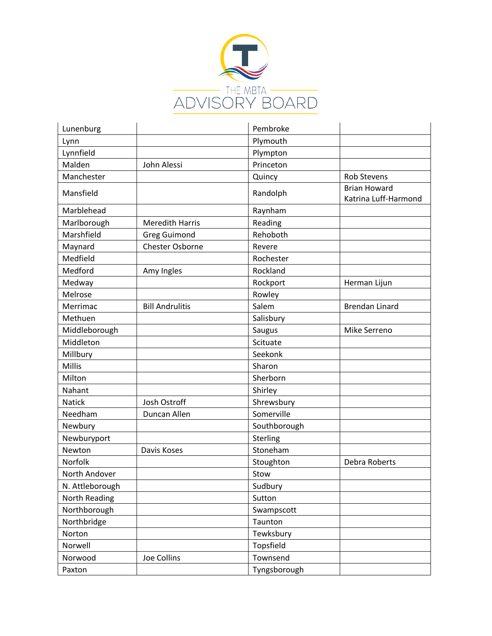

| Lunenburg       |                        | Pembroke     |                                             |
|-----------------|------------------------|--------------|---------------------------------------------|
| Lynn            |                        | Plymouth     |                                             |
| Lynnfield       |                        | Plympton     |                                             |
| Malden          | John Alessi            | Princeton    |                                             |
| Manchester      |                        | Quincy       | <b>Rob Stevens</b>                          |
| Mansfield       |                        | Randolph     | <b>Brian Howard</b><br>Katrina Luff-Harmond |
| Marblehead      |                        | Raynham      |                                             |
| Marlborough     | <b>Meredith Harris</b> | Reading      |                                             |
| Marshfield      | <b>Greg Guimond</b>    | Rehoboth     |                                             |
| Maynard         | Chester Osborne        | Revere       |                                             |
| Medfield        |                        | Rochester    |                                             |
| Medford         | Amy Ingles             | Rockland     |                                             |
| Medway          |                        | Rockport     | Herman Lijun                                |
| Melrose         |                        | Rowley       |                                             |
| Merrimac        | <b>Bill Andrulitis</b> | Salem        | <b>Brendan Linard</b>                       |
| Methuen         |                        | Salisbury    |                                             |
| Middleborough   |                        | Saugus       | Mike Serreno                                |
| Middleton       |                        | Scituate     |                                             |
| Millbury        |                        | Seekonk      |                                             |
| <b>Millis</b>   |                        | Sharon       |                                             |
| Milton          |                        | Sherborn     |                                             |
| Nahant          |                        | Shirley      |                                             |
| <b>Natick</b>   | Josh Ostroff           | Shrewsbury   |                                             |
| Needham         | Duncan Allen           | Somerville   |                                             |
| Newbury         |                        | Southborough |                                             |
| Newburyport     |                        | Sterling     |                                             |
| Newton          | Davis Koses            | Stoneham     |                                             |
| Norfolk         |                        | Stoughton    | Debra Roberts                               |
| North Andover   |                        | Stow         |                                             |
| N. Attleborough |                        | Sudbury      |                                             |
| North Reading   |                        | Sutton       |                                             |
| Northborough    |                        | Swampscott   |                                             |
| Northbridge     |                        | Taunton      |                                             |
| Norton          |                        | Tewksbury    |                                             |
| Norwell         |                        | Topsfield    |                                             |
| Norwood         | Joe Collins            | Townsend     |                                             |
| Paxton          |                        | Tyngsborough |                                             |